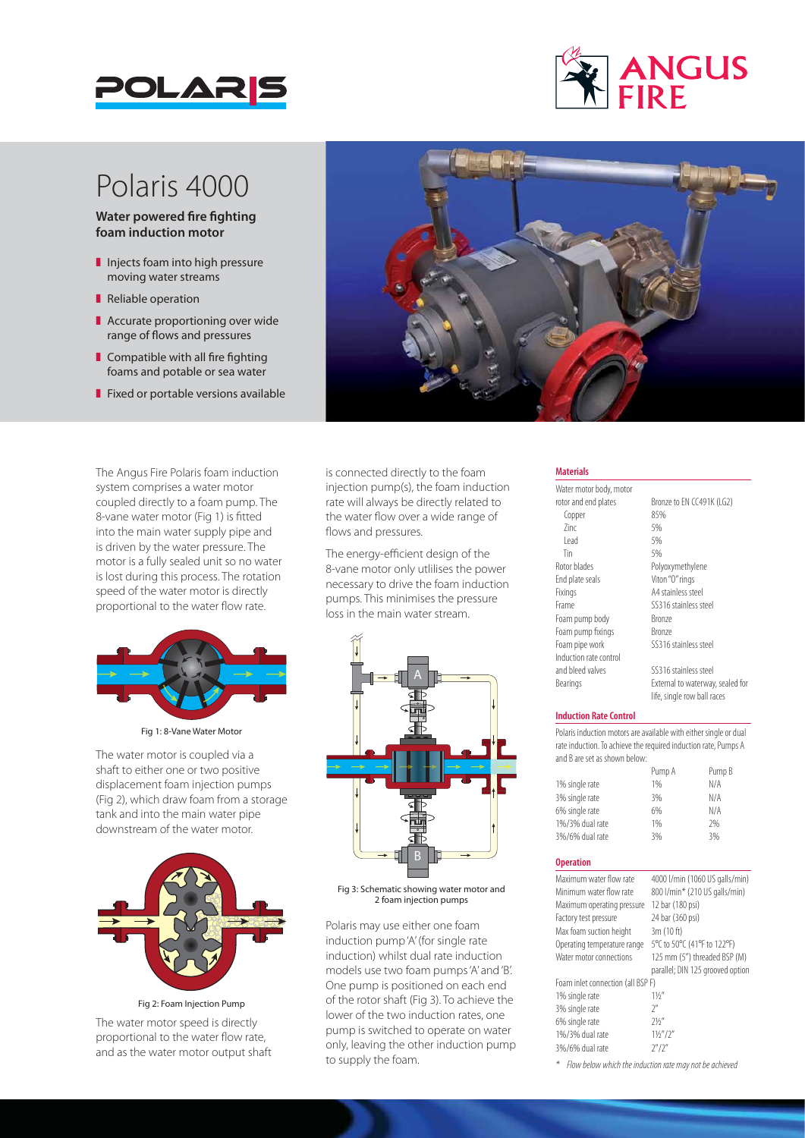



## Polaris 4000

**Water powered fire fighting foam induction motor**

- $\blacksquare$  Injects foam into high pressure moving water streams
- Reliable operation
- $\blacksquare$  Accurate proportioning over wide range of flows and pressures
- $\blacksquare$  Compatible with all fire fighting foams and potable or sea water
- $\blacksquare$  Fixed or portable versions available

The Angus Fire Polaris foam induction system comprises a water motor coupled directly to a foam pump. The 8-vane water motor (Fig 1) is fitted into the main water supply pipe and is driven by the water pressure. The motor is a fully sealed unit so no water is lost during this process. The rotation speed of the water motor is directly proportional to the water flow rate.



Fig 1: 8-Vane Water Motor

The water motor is coupled via a shaft to either one or two positive displacement foam injection pumps (Fig 2), which draw foam from a storage tank and into the main water pipe downstream of the water motor.



Fig 2: Foam Injection Pump

The water motor speed is directly proportional to the water flow rate, and as the water motor output shaft



is connected directly to the foam injection pump(s), the foam induction rate will always be directly related to the water flow over a wide range of flows and pressures.

The energy-efficient design of the 8-vane motor only utlilises the power necessary to drive the foam induction pumps. This minimises the pressure loss in the main water stream.



Fig 3: Schematic showing water motor and 2 foam injection pumps

Polaris may use either one foam induction pump 'A' (for single rate induction) whilst dual rate induction models use two foam pumps 'A' and 'B'. One pump is positioned on each end of the rotor shaft (Fig 3). To achieve the lower of the two induction rates, one pump is switched to operate on water only, leaving the other induction pump to supply the foam.

### **Materials**

Water motor body, motor rotor and end plates<br>
Fonner<br>
85%<br>
85% Copper  $\frac{2}{1}$   $\frac{5}{6}$ <br> $\frac{5}{6}$ Lead 5%<br>Tin 5% Tin 5% Rotor blades Polyoxymethylene End plate seals Viton "O" rings Fixings A4 stainless steel Frame SS316 stainless steel Foam pump body Bronze Foam pump fixings Bronze<br>
Foam pipe work SS316 Induction rate control and bleed valves SS316 stainless steel Bearings External to waterway, sealed for

SS316 stainless steel

life, single row ball races

#### **Induction Rate Control**

Polaris induction motors are available with either single or dual rate induction. To achieve the required induction rate, Pumps A and B are set as shown below:

|                 | Pump A | Pump B |
|-----------------|--------|--------|
| 1% single rate  | 1%     | N/A    |
| 3% single rate  | 3%     | N/A    |
| 6% single rate  | 6%     | N/A    |
| 1%/3% dual rate | 1%     | 7%     |
| 3%/6% dual rate | 3%     | 3%     |
|                 |        |        |

### **Operation**

| Maximum water flow rate           | 4000 l/min (1060 US galls/min)   |  |  |  |  |
|-----------------------------------|----------------------------------|--|--|--|--|
| Minimum water flow rate           | 800 l/min* (210 US galls/min)    |  |  |  |  |
| Maximum operating pressure        | 12 bar (180 psi)                 |  |  |  |  |
| Factory test pressure             | 24 bar (360 psi)                 |  |  |  |  |
| Max foam suction height           | 3m (10 ft)                       |  |  |  |  |
| Operating temperature range       | 5°C to 50°C (41°F to 122°F)      |  |  |  |  |
| Water motor connections           | 125 mm (5") threaded BSP (M)     |  |  |  |  |
|                                   | parallel; DIN 125 grooved option |  |  |  |  |
| Foam inlet connection (all BSP F) |                                  |  |  |  |  |
| 1% single rate                    | 11/2                             |  |  |  |  |
| 3% single rate                    | 7''                              |  |  |  |  |
| 6% single rate                    | 71/''                            |  |  |  |  |
| 1%/3% dual rate                   | $1\frac{1}{2}$ "/2"              |  |  |  |  |
| 3%/6% dual rate                   | 7''/7''                          |  |  |  |  |

*\* Flow below which the induction rate may not be achieved*